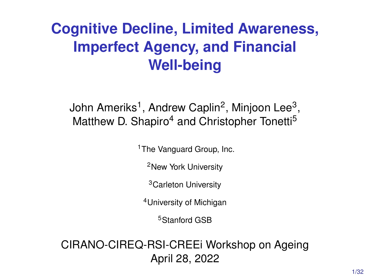# <span id="page-0-0"></span>**Cognitive Decline, Limited Awareness, Imperfect Agency, and Financial Well-being**

# John Ameriks $^1$ , Andrew Caplin $^2$ , Minjoon Lee $^3,$ Matthew D. Shapiro<sup>4</sup> and Christopher Tonetti<sup>5</sup>

<sup>1</sup>The Vanguard Group, Inc.

<sup>2</sup>New York University

<sup>3</sup>Carleton University

<sup>4</sup>University of Michigan

<sup>5</sup>Stanford GSB

CIRANO-CIREQ-RSI-CREEi Workshop on Ageing April 28, 2022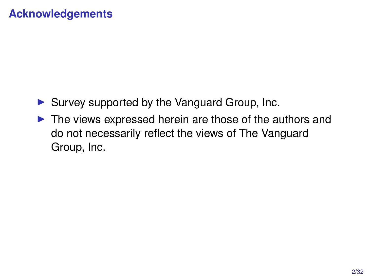# **Acknowledgements**

- ▶ Survey supported by the Vanguard Group, Inc.
- ▶ The views expressed herein are those of the authors and do not necessarily reflect the views of The Vanguard Group, Inc.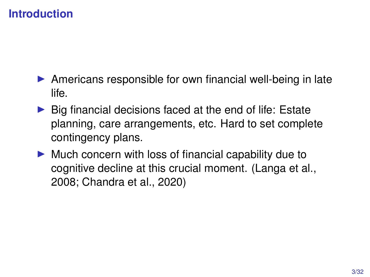- ▶ Americans responsible for own financial well-being in late life.
- ▶ Big financial decisions faced at the end of life: Estate planning, care arrangements, etc. Hard to set complete contingency plans.
- ▶ Much concern with loss of financial capability due to cognitive decline at this crucial moment. (Langa et al., 2008; Chandra et al., 2020)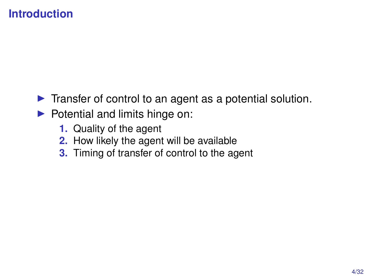- ▶ Transfer of control to an agent as a potential solution.
- ▶ Potential and limits hinge on:
	- **1.** Quality of the agent
	- **2.** How likely the agent will be available
	- **3.** Timing of transfer of control to the agent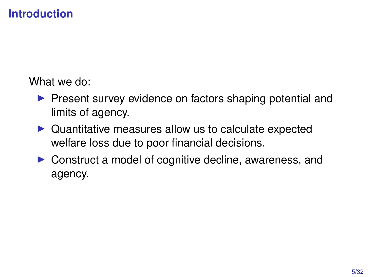What we do:

- ▶ Present survey evidence on factors shaping potential and limits of agency.
- ▶ Quantitative measures allow us to calculate expected welfare loss due to poor financial decisions.
- ▶ Construct a model of cognitive decline, awareness, and agency.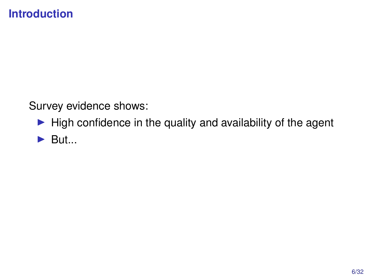Survey evidence shows:

- $\blacktriangleright$  High confidence in the quality and availability of the agent
- $\blacktriangleright$  But...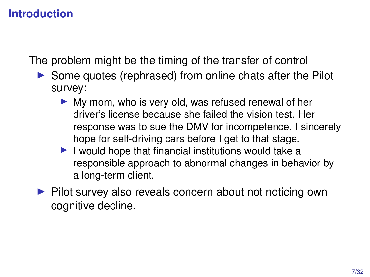The problem might be the timing of the transfer of control

- ▶ Some quotes (rephrased) from online chats after the Pilot survey:
	- ▶ My mom, who is very old, was refused renewal of her driver's license because she failed the vision test. Her response was to sue the DMV for incompetence. I sincerely hope for self-driving cars before I get to that stage.
	- ▶ I would hope that financial institutions would take a responsible approach to abnormal changes in behavior by a long-term client.
- ▶ Pilot survey also reveals concern about not noticing own cognitive decline.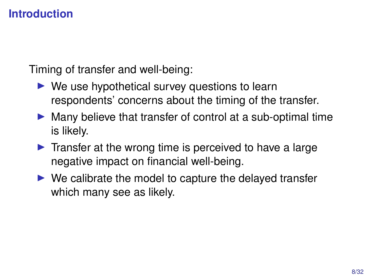Timing of transfer and well-being:

- $\triangleright$  We use hypothetical survey questions to learn respondents' concerns about the timing of the transfer.
- ▶ Many believe that transfer of control at a sub-optimal time is likely.
- $\blacktriangleright$  Transfer at the wrong time is perceived to have a large negative impact on financial well-being.
- $\triangleright$  We calibrate the model to capture the delayed transfer which many see as likely.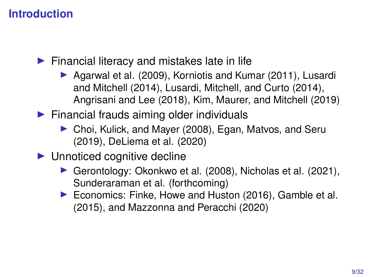$\blacktriangleright$  Financial literacy and mistakes late in life

- ▶ Agarwal et al. (2009), Korniotis and Kumar (2011), Lusardi and Mitchell (2014), Lusardi, Mitchell, and Curto (2014), Angrisani and Lee (2018), Kim, Maurer, and Mitchell (2019)
- $\blacktriangleright$  Financial frauds aiming older individuals
	- ▶ Choi, Kulick, and Mayer (2008), Egan, Matvos, and Seru (2019), DeLiema et al. (2020)
- ▶ Unnoticed cognitive decline
	- ▶ Gerontology: Okonkwo et al. (2008), Nicholas et al. (2021), Sunderaraman et al. (forthcoming)
	- ▶ Economics: Finke, Howe and Huston (2016), Gamble et al. (2015), and Mazzonna and Peracchi (2020)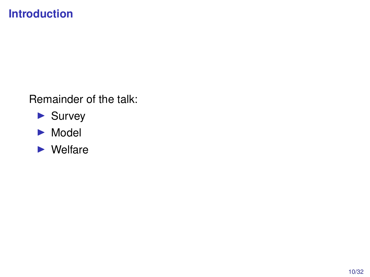Remainder of the talk:

- ▶ Survey
- ▶ Model
- ▶ Welfare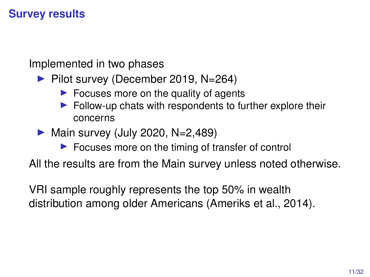Implemented in two phases

▶ Pilot survey (December 2019, N=264)

- $\blacktriangleright$  Focuses more on the quality of agents
- $\blacktriangleright$  Follow-up chats with respondents to further explore their concerns

 $\blacktriangleright$  Main survey (July 2020, N=2,489)

▶ Focuses more on the timing of transfer of control

All the results are from the Main survey unless noted otherwise.

VRI sample roughly represents the top 50% in wealth distribution among older Americans (Ameriks et al., 2014).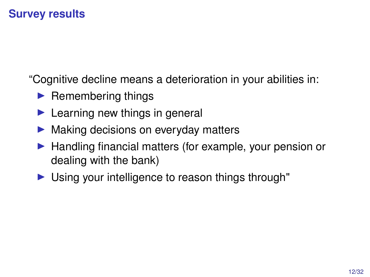"Cognitive decline means a deterioration in your abilities in:

- $\blacktriangleright$  Remembering things
- $\blacktriangleright$  Learning new things in general
- ▶ Making decisions on everyday matters
- ▶ Handling financial matters (for example, your pension or dealing with the bank)
- ▶ Using your intelligence to reason things through"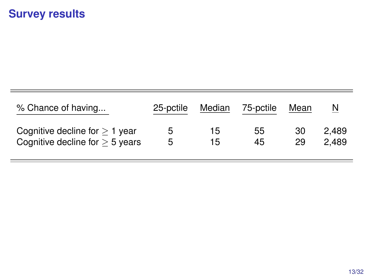| % Chance of having                   | 25-pctile | Median | 75-pctile | Mean | N     |
|--------------------------------------|-----------|--------|-----------|------|-------|
| Cognitive decline for $\geq 1$ year  | 5         | 15     | 55        | 30   | 2.489 |
| Cognitive decline for $\geq$ 5 years | 5         | 15     | 45        | 29   | 2.489 |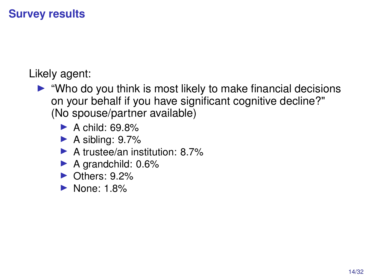Likely agent:

- ▶ "Who do you think is most likely to make financial decisions on your behalf if you have significant cognitive decline?" (No spouse/partner available)
	- $\blacktriangleright$  A child: 69.8%
	- $\blacktriangleright$  A sibling: 9.7%
	- ▶ A trustee/an institution: 8.7%
	- ▶ A grandchild: 0.6%
	- ▶ Others: 9.2%
	- ▶ None: 1.8%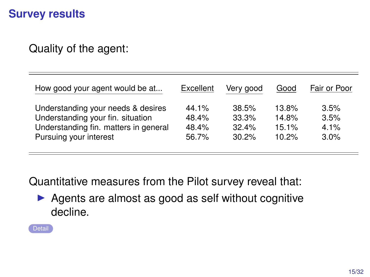Quality of the agent:

| How good your agent would be at       | Excellent | Very good | Good  | Fair or Poor |
|---------------------------------------|-----------|-----------|-------|--------------|
| Understanding your needs & desires    | 44.1%     | 38.5%     | 13.8% | 3.5%         |
| Understanding your fin. situation     | 48.4%     | 33.3%     | 14.8% | 3.5%         |
| Understanding fin. matters in general | 48.4%     | 32.4%     | 15.1% | 4.1%         |
| Pursuing your interest                | 56.7%     | 30.2%     | 10.2% | 3.0%         |

Quantitative measures from the Pilot survey reveal that:

▶ Agents are almost as good as self without cognitive decline.

<span id="page-14-0"></span>[Detail](#page-36-0)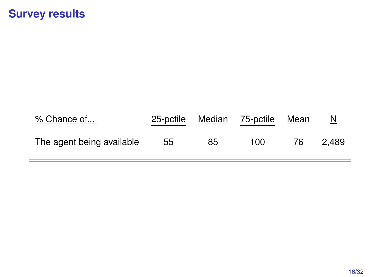| % Chance of               | 25-pctile | Median | 75-pctile | Mean | $\overline{\mathsf{M}}$ |
|---------------------------|-----------|--------|-----------|------|-------------------------|
| The agent being available | 55        | 85     | 100       | 76   | 2.489                   |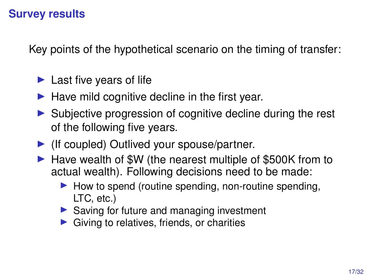Key points of the hypothetical scenario on the timing of transfer:

- $\blacktriangleright$  Last five years of life
- $\blacktriangleright$  Have mild cognitive decline in the first year.
- ▶ Subiective progression of cognitive decline during the rest of the following five years.
- ▶ (If coupled) Outlived your spouse/partner.
- ▶ Have wealth of \$W (the nearest multiple of \$500K from to actual wealth). Following decisions need to be made:
	- $\blacktriangleright$  How to spend (routine spending, non-routine spending, LTC, etc.)
	- ▶ Saving for future and managing investment
	- Giving to relatives, friends, or charities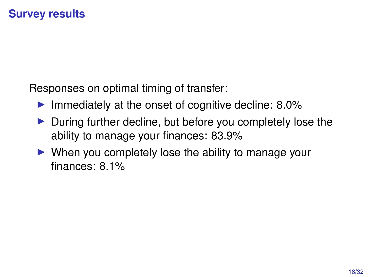Responses on optimal timing of transfer:

- $\blacktriangleright$  Immediately at the onset of cognitive decline: 8.0%
- ▶ During further decline, but before you completely lose the ability to manage your finances: 83.9%
- $\triangleright$  When you completely lose the ability to manage your finances: 8.1%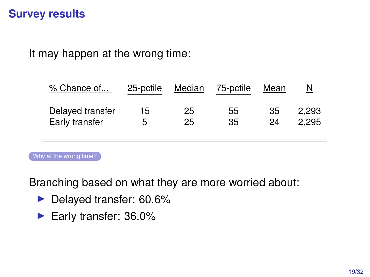It may happen at the wrong time:

| % Chance of      | 25-pctile | Median | 75-pctile | Mean | N     |
|------------------|-----------|--------|-----------|------|-------|
| Delayed transfer | 15        | 25     | 55        | 35   | 2.293 |
| Early transfer   | 5         | 25     | 35        | 24   | 2.295 |

[Why at the wrong time?](#page-37-0)

Branching based on what they are more worried about:

- ▶ Delayed transfer: 60.6%
- <span id="page-18-0"></span>▶ Early transfer: 36.0%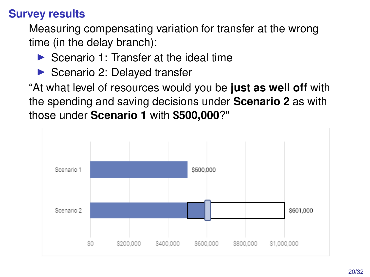Measuring compensating variation for transfer at the wrong time (in the delay branch):

- $\blacktriangleright$  Scenario 1: Transfer at the ideal time
- ▶ Scenario 2: Delayed transfer

"At what level of resources would you be **just as well off** with the spending and saving decisions under **Scenario 2** as with those under **Scenario 1** with **\$500,000**?"

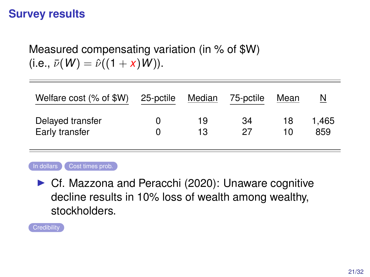Measured compensating variation (in % of \$W)  $(i.e., \bar{\nu}(W) = \hat{\nu}((1 + x)W)).$ 

| Welfare cost (% of \$W) | 25-pctile | Median | 75-pctile | Mean | N     |
|-------------------------|-----------|--------|-----------|------|-------|
| Delayed transfer        |           | 19     | 34        | 18   | 1.465 |
| Early transfer          |           | 13     | 27        | 10.  | 859   |



<span id="page-20-0"></span>▶ Cf. Mazzona and Peracchi (2020): Unaware cognitive decline results in 10% loss of wealth among wealthy, stockholders.

<span id="page-20-1"></span>**[Credibility](#page-40-0)**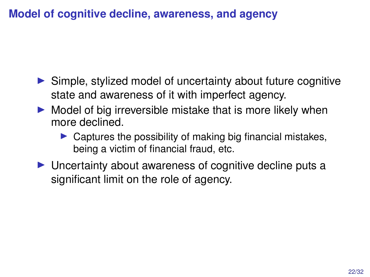- ▶ Simple, stylized model of uncertainty about future cognitive state and awareness of it with imperfect agency.
- $\triangleright$  Model of big irreversible mistake that is more likely when more declined.
	- $\triangleright$  Captures the possibility of making big financial mistakes, being a victim of financial fraud, etc.
- ▶ Uncertainty about awareness of cognitive decline puts a significant limit on the role of agency.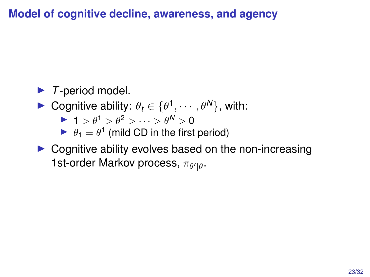# ▶ *T*-period model.

- **►** Cognitive ability:  $\theta_t \in \{\theta^1, \dots, \theta^N\}$ , with:
	- $\blacktriangleright$  1 >  $\theta^1$  >  $\theta^2$  >  $\cdots$  >  $\theta^N$  > 0
	- $\blacktriangleright$   $\theta_1 = \theta^1$  (mild CD in the first period)
- $\triangleright$  Cognitive ability evolves based on the non-increasing 1st-order Markov process,  $\pi_{\theta'|\theta}$ .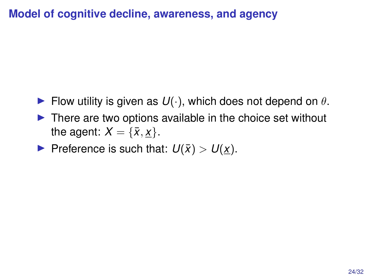- $\blacktriangleright$  Flow utility is given as  $U(\cdot)$ , which does not depend on  $\theta$ .
- $\triangleright$  There are two options available in the choice set without the agent:  $X = \{\bar{x}, x\}.$
- $\blacktriangleright$  Preference is such that:  $U(\bar{x}) > U(\underline{x})$ .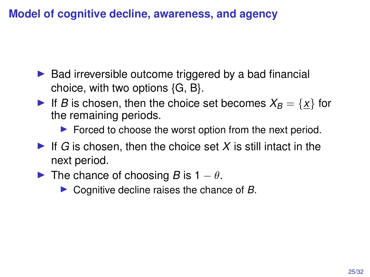- $\triangleright$  Bad irreversible outcome triggered by a bad financial choice, with two options {G, B}.
- If *B* is chosen, then the choice set becomes  $X_B = \{x\}$  for the remaining periods.

▶ Forced to choose the worst option from the next period.

- $\blacktriangleright$  If *G* is chosen, then the choice set *X* is still intact in the next period.
- **►** The chance of choosing *B* is  $1 \theta$ .
	- ▶ Cognitive decline raises the chance of *B*.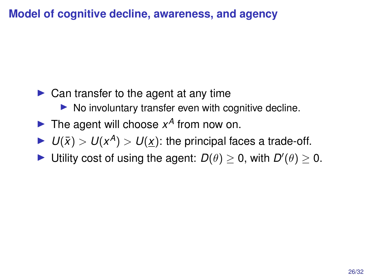- $\triangleright$  Can transfer to the agent at any time
	- ▶ No involuntary transfer even with cognitive decline.
- $\blacktriangleright$  The agent will choose  $x^A$  from now on.
- $\blacktriangleright$   $U(\bar{x}) > U(x^A) > U(\underline{x})$ : the principal faces a trade-off.
- ▶ Utility cost of using the agent:  $D(\theta) \ge 0$ , with  $D'(\theta) \ge 0$ .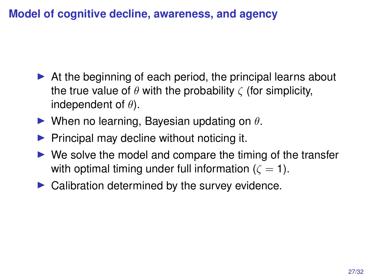- $\triangleright$  At the beginning of each period, the principal learns about the true value of  $\theta$  with the probability  $\zeta$  (for simplicity, independent of  $\theta$ ).
- $\blacktriangleright$  When no learning, Bayesian updating on  $\theta$ .
- $\blacktriangleright$  Principal may decline without noticing it.
- $\triangleright$  We solve the model and compare the timing of the transfer with optimal timing under full information ( $\zeta = 1$ ).
- $\blacktriangleright$  Calibration determined by the survey evidence.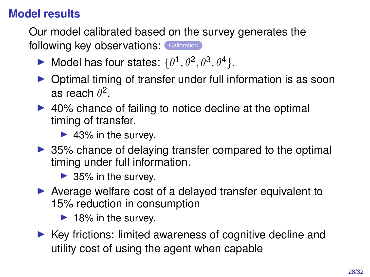# **Model results**

Our model calibrated based on the survey generates the following key observations: [Calibration](#page-34-0)

- $\blacktriangleright$  Model has four states:  $\{\theta^1, \theta^2, \theta^3, \theta^4\}.$
- ▶ Optimal timing of transfer under full information is as soon as reach  $\theta^2$ .
- ▶ 40% chance of failing to notice decline at the optimal timing of transfer.
	- ▶ 43% in the survey.
- ▶ 35% chance of delaying transfer compared to the optimal timing under full information.

▶ 35% in the survey.

▶ Average welfare cost of a delayed transfer equivalent to 15% reduction in consumption

▶ 18% in the survey.

<span id="page-27-0"></span>▶ Key frictions: limited awareness of cognitive decline and utility cost of using the agent when capable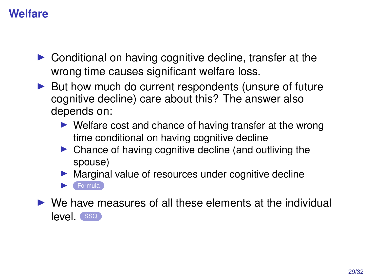## **Welfare**

- ▶ Conditional on having cognitive decline, transfer at the wrong time causes significant welfare loss.
- ▶ But how much do current respondents (unsure of future cognitive decline) care about this? The answer also depends on:
	- ▶ Welfare cost and chance of having transfer at the wrong time conditional on having cognitive decline
	- ▶ Chance of having cognitive decline (and outliving the spouse)
	- Marginal value of resources under cognitive decline **[Formula](#page-45-0)**

<span id="page-28-0"></span> $\triangleright$  We have measures of all these elements at the individual level. ([SSQ](#page-44-0))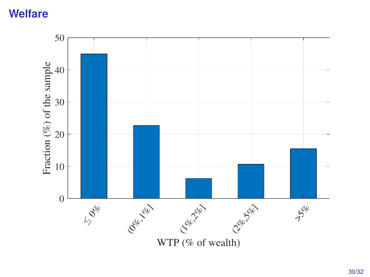#### **Welfare**

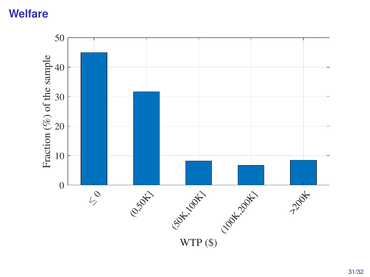#### **Welfare**

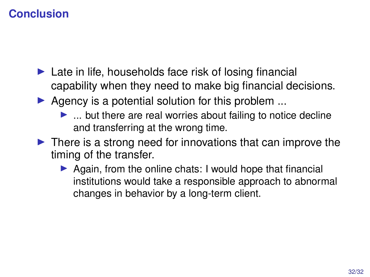# **Conclusion**

- $\blacktriangleright$  Late in life, households face risk of losing financial capability when they need to make big financial decisions.
- $\blacktriangleright$  Agency is a potential solution for this problem ...
	- $\blacktriangleright$  ... but there are real worries about failing to notice decline and transferring at the wrong time.
- $\blacktriangleright$  There is a strong need for innovations that can improve the timing of the transfer.
	- ▶ Again, from the online chats: I would hope that financial institutions would take a responsible approach to abnormal changes in behavior by a long-term client.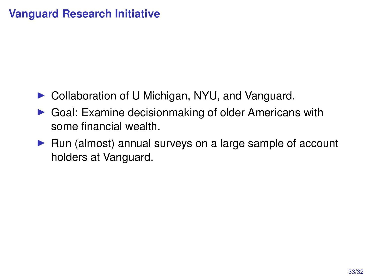# **Vanguard Research Initiative**

- ▶ Collaboration of U Michigan, NYU, and Vanguard.
- ▶ Goal: Examine decisionmaking of older Americans with some financial wealth.
- ▶ Run (almost) annual surveys on a large sample of account holders at Vanguard.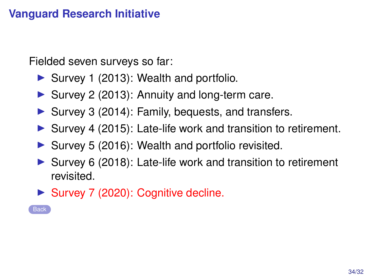# **Vanguard Research Initiative**

Fielded seven surveys so far:

- ▶ Survey 1 (2013): Wealth and portfolio.
- ▶ Survey 2 (2013): Annuity and long-term care.
- ▶ Survey 3 (2014): Family, bequests, and transfers.
- ▶ Survey 4 (2015): Late-life work and transition to retirement.
- ▶ Survey 5 (2016): Wealth and portfolio revisited.
- ▶ Survey 6 (2018): Late-life work and transition to retirement revisited.
- ▶ Survey 7 (2020): Cognitive decline.

**[Back](#page-0-0)**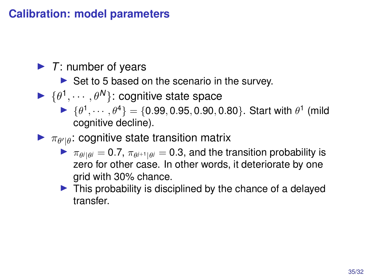#### **Calibration: model parameters**

- ▶ *T*: number of years
	- ▶ Set to 5 based on the scenario in the survey.
- $\blacktriangleright \{\theta^1, \cdots, \theta^N\}$ : cognitive state space
	- $\blacktriangleright \{\theta^1, \cdots, \theta^4\} = \{0.99, 0.95, 0.90, 0.80\}.$  Start with  $\theta^1$  (mild cognitive decline).
- <span id="page-34-0"></span> $\blacktriangleright \pi_{\theta'|\theta}$ : cognitive state transition matrix
	- $\blacktriangleright$   $\pi_{\theta^j|\theta^j} = 0.7$ ,  $\pi_{\theta^{j+1}|\theta^j} = 0.3$ , and the transition probability is zero for other case. In other words, it deteriorate by one grid with 30% chance.
	- $\blacktriangleright$  This probability is disciplined by the chance of a delayed transfer.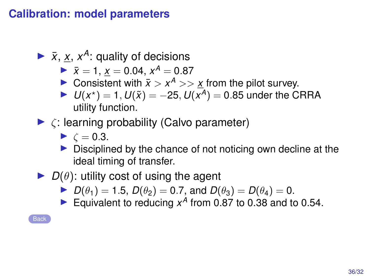#### **Calibration: model parameters**

- $\blacktriangleright$   $\bar{x}$ ,  $\underline{x}$ ,  $x^A$ : quality of decisions
	- $\bar{x} = 1$ ,  $\bar{x} = 0.04$ ,  $x^A = 0.87$
	- ▶ Consistent with  $\bar{x}$  >  $x^A$  >>  $\underline{x}$  from the pilot survey.
	- ▶ *U*( $x^*$ ) = 1, *U*( $\tilde{x}$ ) = –25, *U*( $\bar{x}$ <sup> $\bar{A}$ </sup>) = 0.85 under the CRRA utility function.
- $\blacktriangleright$   $\zeta$ : learning probability (Calvo parameter)

 $\blacktriangleright$   $\zeta = 0.3$ .

- ▶ Disciplined by the chance of not noticing own decline at the ideal timing of transfer.
- $\triangleright$  *D*( $\theta$ ): utility cost of using the agent
	- ▶ *D*( $\theta_1$ ) = 1.5, *D*( $\theta_2$ ) = 0.7, and *D*( $\theta_3$ ) = *D*( $\theta_4$ ) = 0.
	- Equivalent to reducing  $x^{\hat{A}}$  from 0.87 to 0.38 and to 0.54.

**[Back](#page-27-0)**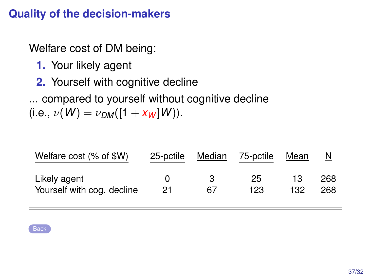## **Quality of the decision-makers**

Welfare cost of DM being:

- **1.** Your likely agent
- **2.** Yourself with cognitive decline
- ... compared to yourself without cognitive decline

 $(i.e., \nu(W) = \nu_{DM}([1 + x_W]W)).$ 

| Welfare cost (% of \$W)    | 25-pctile | Median | 75-pctile | Mean | N   |
|----------------------------|-----------|--------|-----------|------|-----|
| Likely agent               | $^{(1)}$  | 67     | 25        | 13   | 268 |
| Yourself with cog. decline | 21        |        | 123       | 132  | 268 |

<span id="page-36-0"></span>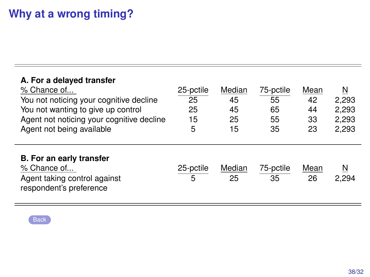| A. For a delayed transfer<br>% Chance of<br>You not noticing your cognitive decline<br>You not wanting to give up control<br>Agent not noticing your cognitive decline<br>Agent not being available | 25-pctile<br>25<br>25<br>15<br>5 | Median<br>45<br>45<br>25<br>15 | 75-pctile<br>55<br>65<br>55<br>35 | Mean<br>42<br>44<br>33<br>23 | N<br>2.293<br>2,293<br>2,293<br>2,293 |
|-----------------------------------------------------------------------------------------------------------------------------------------------------------------------------------------------------|----------------------------------|--------------------------------|-----------------------------------|------------------------------|---------------------------------------|
| B. For an early transfer<br>% Chance of<br>Agent taking control against<br>respondent's preference                                                                                                  | 25-pctile<br>5                   | Median<br>25                   | 75-pctile<br>35                   | Mean<br>26                   | N<br>2.294                            |

<span id="page-37-0"></span>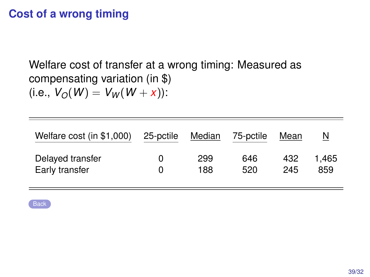# **Cost of a wrong timing**

Welfare cost of transfer at a wrong timing: Measured as compensating variation (in \$)  $(i.e., V_O(W) = V_W(W + x))$ :

| Welfare cost (in \$1,000) | 25-pctile | Median | 75-pctile | Mean | N     |
|---------------------------|-----------|--------|-----------|------|-------|
| Delayed transfer          | O         | 299    | 646       | 432  | 1.465 |
| Early transfer            | O         | 188    | 520       | 245  | 859   |

<span id="page-38-0"></span>**[Back](#page-20-0)**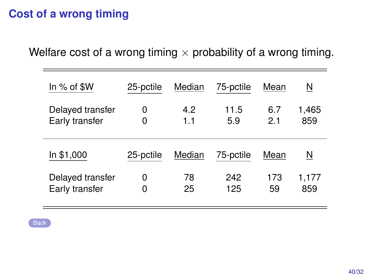# **Cost of a wrong timing**

Welfare cost of a wrong timing  $\times$  probability of a wrong timing.

<span id="page-39-0"></span>

| In $%$ of $$W$   | 25-pctile | Median | 75-pctile | Mean | N     |
|------------------|-----------|--------|-----------|------|-------|
| Delayed transfer | 0         | 4.2    | 11.5      | 6.7  | 1,465 |
| Early transfer   | 0         | 1.1    | 5.9       | 21   | 859   |
| In \$1,000       | 25-pctile | Median | 75-pctile | Mean | N     |
| Delayed transfer | 0         | 78     | 242       | 173  | 1,177 |
| Early transfer   | 0         | 25     | 125       | 59   | 859   |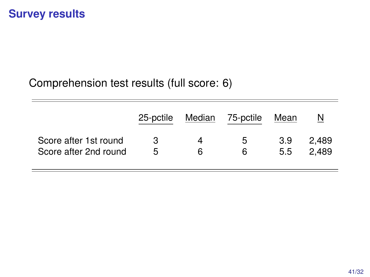#### Comprehension test results (full score: 6)

<span id="page-40-0"></span>

|                       | 25-pctile | Median | 75-pctile | Mean | N     |
|-----------------------|-----------|--------|-----------|------|-------|
| Score after 1st round | 3         | Δ      | 5         | 3.9  | 2.489 |
| Score after 2nd round | 5         | 6      | 6         | 5.5  | 2.489 |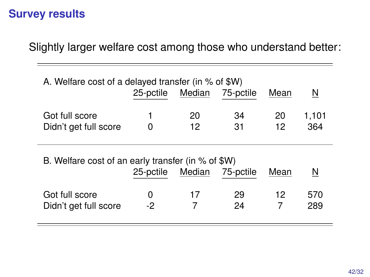J.

Slightly larger welfare cost among those who understand better:

| A. Welfare cost of a delayed transfer (in % of \$W) |           |          |           |          |              |  |  |  |
|-----------------------------------------------------|-----------|----------|-----------|----------|--------------|--|--|--|
|                                                     | 25-pctile | Median   | 75-pctile | Mean     | N            |  |  |  |
| Got full score<br>Didn't get full score             | 1<br>0    | 20<br>12 | 34<br>31  | 20<br>12 | 1,101<br>364 |  |  |  |
|                                                     |           |          |           |          |              |  |  |  |
| B. Welfare cost of an early transfer (in % of \$W)  |           |          |           |          |              |  |  |  |
|                                                     | 25-pctile | Median   | 75-pctile | Mean     | N            |  |  |  |
| Got full score                                      | 0         | 17       | 29        | 12       | 570          |  |  |  |
| Didn't get full score                               | $-2$      | 7        | 24        | 7        | 289          |  |  |  |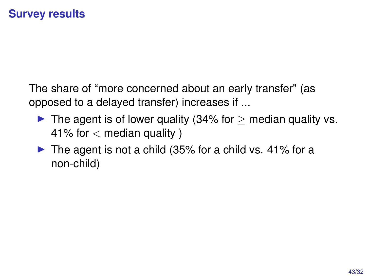The share of "more concerned about an early transfer" (as opposed to a delayed transfer) increases if ...

- $\blacktriangleright$  The agent is of lower quality (34% for  $>$  median quality vs. 41% for  $<$  median quality  $\prime$
- $\triangleright$  The agent is not a child (35% for a child vs. 41% for a non-child)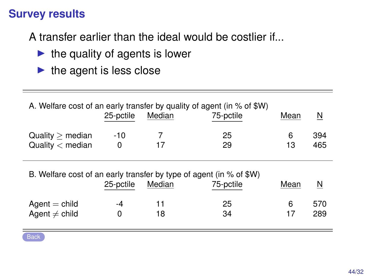A transfer earlier than the ideal would be costlier if...

- $\blacktriangleright$  the quality of agents is lower
- $\blacktriangleright$  the agent is less close

| A. Welfare cost of an early transfer by quality of agent (in % of \$W) |           |        |           |      |     |  |  |  |
|------------------------------------------------------------------------|-----------|--------|-----------|------|-----|--|--|--|
|                                                                        | 25-pctile | Median | 75-pctile | Mean | N   |  |  |  |
| $Quality$ median                                                       | -10       |        | 25        | 6    | 394 |  |  |  |
| Quality $<$ median                                                     | O         | 17     | 29        | 13   | 465 |  |  |  |

B. Welfare cost of an early transfer by type of agent (in % of \$W)

|                                       | 25-pctile | Median | 75-pctile | Mean | $\overline{\mathsf{M}}$ |
|---------------------------------------|-----------|--------|-----------|------|-------------------------|
| $Agent = child$<br>Agent $\neq$ child | -4        | 18     | 25<br>34  |      | 570<br>289              |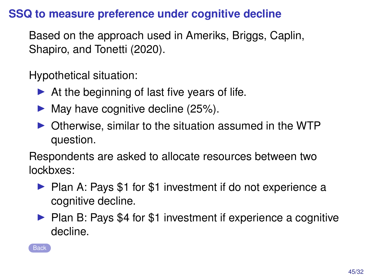#### **SSQ to measure preference under cognitive decline**

Based on the approach used in Ameriks, Briggs, Caplin, Shapiro, and Tonetti (2020).

Hypothetical situation:

- $\blacktriangleright$  At the beginning of last five years of life.
- $\blacktriangleright$  May have cognitive decline (25%).
- ▶ Otherwise, similar to the situation assumed in the WTP question.

Respondents are asked to allocate resources between two lockbxes:

- ▶ Plan A: Pays \$1 for \$1 investment if do not experience a cognitive decline.
- ▶ Plan B: Pays \$4 for \$1 investment if experience a cognitive decline.

<span id="page-44-0"></span>